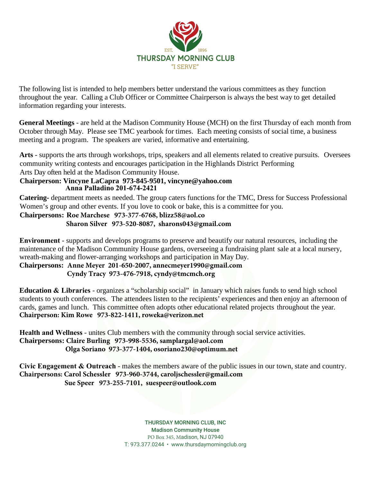

The following list is intended to help members better understand the various committees as they function throughout the year. Calling a Club Officer or Committee Chairperson is always the best way to get detailed information regarding your interests.

**General Meetings** - are held at the Madison Community House (MCH) on the first Thursday of each month from October through May. Please see TMC yearbook for times. Each meeting consists of social time, a business meeting and a program. The speakers are varied, informative and entertaining.

**Arts** - supports the arts through workshops, trips, speakers and all elements related to creative pursuits. Oversees community writing contests and encourages participation in the Highlands District Performing Arts Day often held at the Madison Community House.

#### **Chairperson: Vincyne LaCapra 973-845-9501, vincyne@yahoo.com Anna Palladino 201-674-2421**

**Catering-** department meets as needed. The group caters functions for the TMC, Dress for Success Professional Women's group and other events. If you love to cook or bake, this is a committee for you.

#### **Chairpersons: Roe Marchese 973-377-6768, blizz58@aol.co**

#### **Sharon Silver 973-520-8087, sharons043@gmail.com**

**Environment** - supports and develops programs to preserve and beautify our natural resources, including the maintenance of the Madison Community House gardens, overseeing a fundraising plant sale at a local nursery, wreath-making and flower-arranging workshops and participation in May Day.

**Chairpersons: Anne Meyer 201-650-2007, annecmeyer1990@gmail.com Cyndy Tracy 973-476-7918, cyndy@tmcmch.org**

**Education & Libraries** - organizes a "scholarship social" in January which raises funds to send high school students to youth conferences. The attendees listen to the recipients' experiences and then enjoy an afternoon of cards, games and lunch. This committee often adopts other educational related projects throughout the year. **Chairperson: Kim Rowe 973-822-1411, roweka@verizon.net**

**Health and Wellness** - unites Club members with the community through social service activities. **Chairpersons: Claire Burling 973-998-5536, samplargal@aol.com Olga Soriano 973-377-1404, osoriano230@optimum.net**

**Civic Engagement & Outreach** - makes the members aware of the public issues in our town, state and country. **Chairpersons: Carol Schessler 973-960-3744, caroljschessler@gmail.com Sue Speer 973-255-7101, suespeer@outlook.com**

> THURSDAY MORNING CLUB, INC Madison Community House PO Box 345, Madison, NJ 07940 T: 973.377.0244 • www.thursdaymorningclub.org